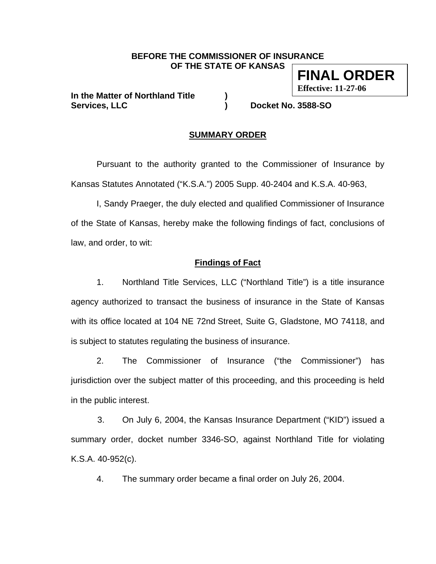#### **BEFORE THE COMMISSIONER OF INSURANCE OF THE STATE OF KANSAS**

**In the Matter of Northland Title ) Services, LLC ) Docket No. 3588-SO** 

**Effective: 11-27-06** 

**FINAL ORDER** 

## **SUMMARY ORDER**

 Pursuant to the authority granted to the Commissioner of Insurance by Kansas Statutes Annotated ("K.S.A.") 2005 Supp. 40-2404 and K.S.A. 40-963,

 I, Sandy Praeger, the duly elected and qualified Commissioner of Insurance of the State of Kansas, hereby make the following findings of fact, conclusions of law, and order, to wit:

## **Findings of Fact**

1. Northland Title Services, LLC ("Northland Title") is a title insurance agency authorized to transact the business of insurance in the State of Kansas with its office located at 104 NE 72nd Street, Suite G, Gladstone, MO 74118, and is subject to statutes regulating the business of insurance.

2. The Commissioner of Insurance ("the Commissioner") has jurisdiction over the subject matter of this proceeding, and this proceeding is held in the public interest.

3. On July 6, 2004, the Kansas Insurance Department ("KID") issued a summary order, docket number 3346-SO, against Northland Title for violating K.S.A. 40-952(c).

4. The summary order became a final order on July 26, 2004.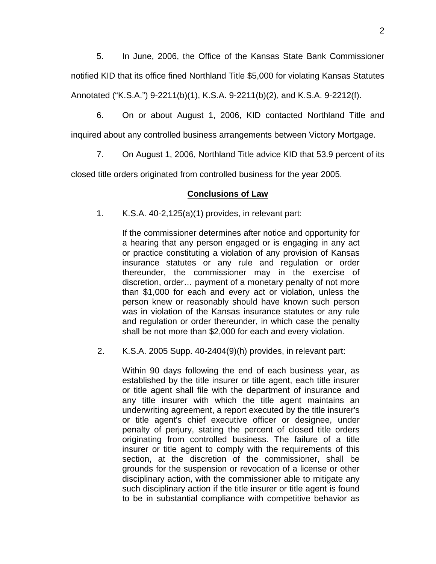5. In June, 2006, the Office of the Kansas State Bank Commissioner notified KID that its office fined Northland Title \$5,000 for violating Kansas Statutes Annotated ("K.S.A.") 9-2211(b)(1), K.S.A. 9-2211(b)(2), and K.S.A. 9-2212(f).

6. On or about August 1, 2006, KID contacted Northland Title and

inquired about any controlled business arrangements between Victory Mortgage.

7. On August 1, 2006, Northland Title advice KID that 53.9 percent of its

closed title orders originated from controlled business for the year 2005.

## **Conclusions of Law**

1. K.S.A. 40-2,125(a)(1) provides, in relevant part:

If the commissioner determines after notice and opportunity for a hearing that any person engaged or is engaging in any act or practice constituting a violation of any provision of Kansas insurance statutes or any rule and regulation or order thereunder, the commissioner may in the exercise of discretion, order… payment of a monetary penalty of not more than \$1,000 for each and every act or violation, unless the person knew or reasonably should have known such person was in violation of the Kansas insurance statutes or any rule and regulation or order thereunder, in which case the penalty shall be not more than \$2,000 for each and every violation.

2. K.S.A. 2005 Supp. 40-2404(9)(h) provides, in relevant part:

Within 90 days following the end of each business year, as established by the title insurer or title agent, each title insurer or title agent shall file with the department of insurance and any title insurer with which the title agent maintains an underwriting agreement, a report executed by the title insurer's or title agent's chief executive officer or designee, under penalty of perjury, stating the percent of closed title orders originating from controlled business. The failure of a title insurer or title agent to comply with the requirements of this section, at the discretion of the commissioner, shall be grounds for the suspension or revocation of a license or other disciplinary action, with the commissioner able to mitigate any such disciplinary action if the title insurer or title agent is found to be in substantial compliance with competitive behavior as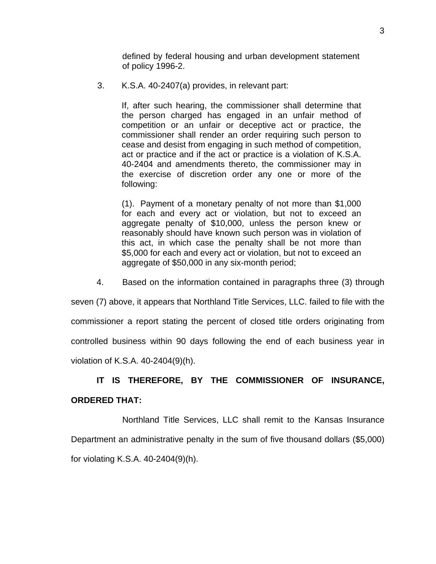defined by federal housing and urban development statement of policy 1996-2.

3. K.S.A. 40-2407(a) provides, in relevant part:

If, after such hearing, the commissioner shall determine that the person charged has engaged in an unfair method of competition or an unfair or deceptive act or practice, the commissioner shall render an order requiring such person to cease and desist from engaging in such method of competition, act or practice and if the act or practice is a violation of K.S.A. 40-2404 and amendments thereto, the commissioner may in the exercise of discretion order any one or more of the following:

 (1). Payment of a monetary penalty of not more than \$1,000 for each and every act or violation, but not to exceed an aggregate penalty of \$10,000, unless the person knew or reasonably should have known such person was in violation of this act, in which case the penalty shall be not more than \$5,000 for each and every act or violation, but not to exceed an aggregate of \$50,000 in any six-month period;

4. Based on the information contained in paragraphs three (3) through

seven (7) above, it appears that Northland Title Services, LLC. failed to file with the commissioner a report stating the percent of closed title orders originating from controlled business within 90 days following the end of each business year in violation of K.S.A. 40-2404(9)(h).

# **IT IS THEREFORE, BY THE COMMISSIONER OF INSURANCE,**

## **ORDERED THAT:**

Northland Title Services, LLC shall remit to the Kansas Insurance Department an administrative penalty in the sum of five thousand dollars (\$5,000) for violating K.S.A. 40-2404(9)(h).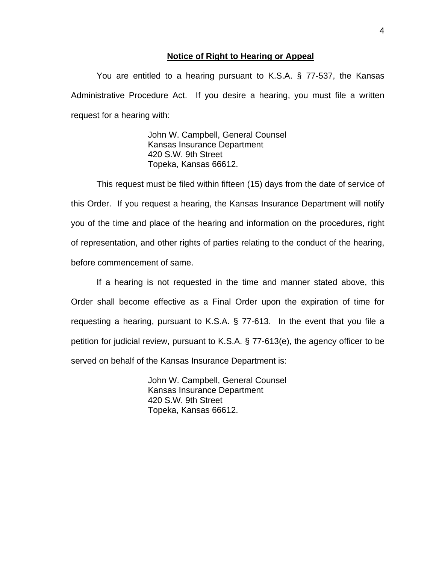### **Notice of Right to Hearing or Appeal**

You are entitled to a hearing pursuant to K.S.A. § 77-537, the Kansas Administrative Procedure Act. If you desire a hearing, you must file a written request for a hearing with:

> John W. Campbell, General Counsel Kansas Insurance Department 420 S.W. 9th Street Topeka, Kansas 66612.

This request must be filed within fifteen (15) days from the date of service of this Order. If you request a hearing, the Kansas Insurance Department will notify you of the time and place of the hearing and information on the procedures, right of representation, and other rights of parties relating to the conduct of the hearing, before commencement of same.

If a hearing is not requested in the time and manner stated above, this Order shall become effective as a Final Order upon the expiration of time for requesting a hearing, pursuant to K.S.A. § 77-613. In the event that you file a petition for judicial review, pursuant to K.S.A. § 77-613(e), the agency officer to be served on behalf of the Kansas Insurance Department is:

> John W. Campbell, General Counsel Kansas Insurance Department 420 S.W. 9th Street Topeka, Kansas 66612.